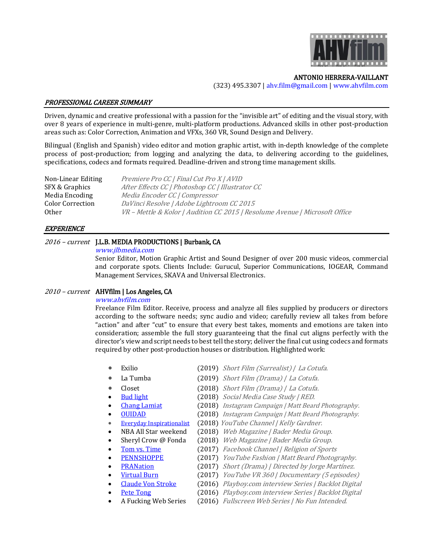

ANTONIO HERRERA-VAILLANT

(323) 495.3307 | [ahv.film@gmail.com](mailto:ahv.film@gmail.com) [| www.ahvfilm.com](http://www.ahvfilm.com/)

### PROFESSIONAL CAREER SUMMARY

Driven, dynamic and creative professional with a passion for the "invisible art" of editing and the visual story, with over 8 years of experience in multi-genre, multi-platform productions. Advanced skills in other post-production areas such as: Color Correction, Animation and VFXs, 360 VR, Sound Design and Delivery.

Bilingual (English and Spanish) video editor and motion graphic artist, with in-depth knowledge of the complete process of post-production; from logging and analyzing the data, to delivering according to the guidelines, specifications, codecs and formats required. Deadline-driven and strong time management skills.

| Non-Linear Editing      | Premiere Pro CC   Final Cut Pro X   AVID                                    |
|-------------------------|-----------------------------------------------------------------------------|
| SFX & Graphics          | After Effects CC   Photoshop CC   Illustrator CC                            |
| Media Encoding          | <i>Media Encoder CC   Compressor</i>                                        |
| <b>Color Correction</b> | DaVinci Resolve   Adobe Lightroom CC 2015                                   |
| 0ther                   | VR - Mettle & Kolor   Audition CC 2015   Resolume Avenue   Microsoft Office |

#### EXPERIENCE

### <sup>2016</sup>– current J.L.B. MEDIA PRODUCTIONS | Burbank, CA

[www.jlbmedia.com](http://www.jlbmedia.com/)

Senior Editor, Motion Graphic Artist and Sound Designer of over 200 music videos, commercial and corporate spots. Clients Include: Gurucul, Superior Communications, IOGEAR, Command Management Services, SKAVA and Universal Electronics.

### <sup>2010</sup>– current AHVfilm | Los Angeles, CA

[www.ahvfilm.com](http://www.ahvfilm.com/)

Freelance Film Editor. Receive, process and analyze all files supplied by producers or directors according to the software needs; sync audio and video; carefully review all takes from before "action" and after "cut" to ensure that every best takes, moments and emotions are taken into consideration; assemble the full story guaranteeing that the final cut aligns perfectly with the director's view and script needs to best tell the story; deliver the final cut using codecs and formats required by other post-production houses or distribution. Highlighted work:

- -
	-
- 
- 
- 
- 
- 
- 
- 
- 
- 
- 
- 
- 
- -
- Exilio (2019) Short Film (Surrealist) / La Cotufa.
- La Tumba (2019) Short Film (Drama) / La Cotufa.
	- Closet (2018) Short Film (Drama) / La Cotufa.
	- **[Bud light](https://vimeo.com/282040796/f1976ec31a)** (2018) Social Media Case Study | RED.
	- [Chang Lamiat](https://www.instagram.com/p/BgWwjIzH5MY/?taken-by=changbeerusa) (2018) Instagram Campaign | Matt Beard Photography.
	- [OUIDAD](https://www.instagram.com/p/Bjw8JvAAQO-/?taken-by=ouidad) (2018) Instagram Campaign | Matt Beard Photography.
	- [Everyday Inspirationalist](https://www.youtube.com/watch?v=JaTJAVD9T0I) (2018) YouTube Channel | Kelly Gardner.
	- NBA All Star weekend (2018) Web Magazine | Bader Media Group.
	- Sheryl Crow @ Fonda (2018) Web Magazine | Bader Media Group.
	- [Tom vs. Time](https://www.facebook.com/tomvstime/videos/2089040131329728/) (2017) Facebook Channel | Religion of Sports
	- **[PENNSHOPPE](https://www.youtube.com/watch?v=Je1shQmdnzk)** (2017) *YouTube Fashion* | Matt Beard Photography.
	- **[PRANation](https://youtu.be/lg7CCYnU6Vc)** (2017) Short (Drama) | Directed by Jorge Martínez.
	- [Virtual Burn](https://www.youtube.com/playlist?list=PLlXiSejEtnes-fJJbFwhRK8lNprI-oU1s) (2017) YouTube VR 360 | Documentary (5 episodes)
	- [Claude Von Stroke](https://vimeo.com/221807251/83c0e6da95) (2016) Playboy.com interview Series | Backlot Digital
	- [Pete Tong](https://vimeo.com/221807170/a0c40a8342) (2016) *Playboy.com interview Series | Backlot Digital*
	- A Fucking Web Series (2016) Fullscreen Web Series | No Fun Intended.
-